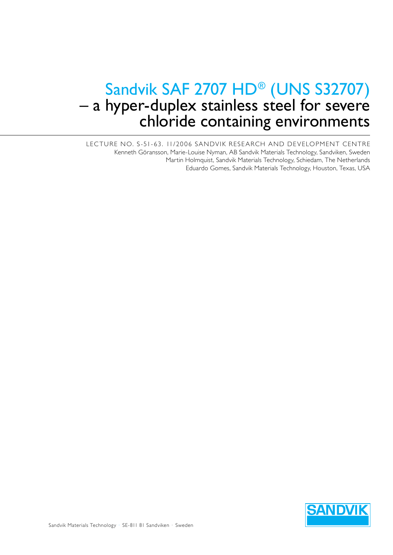# Sandvik SAF 2707 HD<sup>®</sup> (UNS S32707)<br>- a hyper-duplex stainless steel for severe chloride containing environments

LECTURE NO. S-51-63. 11/2006 SANDVIK RESEARCH AND DEVELOPMENT CENTRE Kenneth Göransson, Marie-Louise Nyman, AB Sandvik Materials Technology, Sandviken, Sweden Martin Holmquist, Sandvik Materials Technology, Schiedam, The Netherlands Eduardo Gomes, Sandvik Materials Technology, Houston, Texas, USA

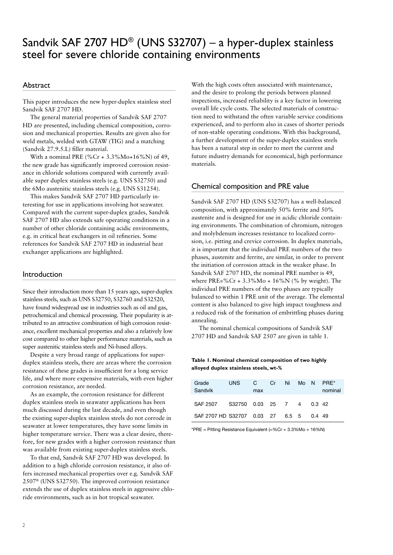# Sandvik SAF 2707  $HD^{\circledast}$  (UNS S32707) – a hyper-duplex stainless steel for severe chloride containing environments

### Abstract

This paper introduces the new hyper-duplex stainless steel Sandvik SAF 2707 HD.

The general material properties of Sandvik SAF 2707 HD are presented, including chemical composition, corrosion and mechanical properties. Results are given also for weld metals, welded with GTAW (TIG) and a matching (Sandvik 27.9.5.L) filler material.

With a nominal PRE (%Cr +  $3.3\%$ Mo+ $16\%$ N) of 49, the new grade has significantly improved corrosion resistance in chloride solutions compared with currently available super duplex stainless steels (e.g. UNS S32750) and the 6Mo austenitic stainless steels (e.g. UNS S31254).

This makes Sandvik SAF 2707 HD particularly interesting for use in applications involving hot seawater. Compared with the current super-duplex grades, Sandvik SAF 2707 HD also extends safe operating conditions in a number of other chloride containing acidic environments, e.g. in critical heat exchangers in oil refineries. Some references for Sandvik SAF 2707 HD in industrial heat exchanger applications are highlighted.

#### Introduction

Since their introduction more than 15 years ago, super-duplex stainless steels, such as UNS S32750, S32760 and S32520, have found widespread use in industries such as oil and gas, petrochemical and chemical processing. Their popularity is attributed to an attractive combination of high corrosion resistance, excellent mechanical properties and also a relatively low cost compared to other higher performance materials, such as super austenitic stainless steels and Ni-based alloys.

Despite a very broad range of applications for superduplex stainless steels, there are areas where the corrosion resistance of these grades is insufficient for a long service life, and where more expensive materials, with even higher corrosion resistance, are needed.

As an example, the corrosion resistance for different duplex stainless steels in seawater applications has been much discussed during the last decade, and even though the existing super-duplex stainless steels do not corrode in seawater at lower temperatures, they have some limits in higher temperature service. There was a clear desire, therefore, for new grades with a higher corrosion resistance than was available from existing super-duplex stainless steels.

To that end, Sandvik SAF 2707 HD was developed. In addition to a high chloride corrosion resistance, it also offers increased mechanical properties over e.g. Sandvik SAF 2507® (UNS S32750). The improved corrosion resistance extends the use of duplex stainless steels in aggressive chloride environments, such as in hot tropical seawater.

With the high costs often associated with maintenance, and the desire to prolong the periods between planned inspections, increased reliability is a key factor in lowering overall life cycle costs. The selected materials of construction need to withstand the often variable service conditions experienced, and to perform also in cases of shorter periods of non-stable operating conditions. With this background, a further development of the super-duplex stainless steels has been a natural step in order to meet the current and future industry demands for economical, high performance materials.

#### Chemical composition and PRE value

Sandvik SAF 2707 HD (UNS S32707) has a well-balanced composition, with approximately 50% ferrite and 50% austenite and is designed for use in acidic chloride containing environments. The combination of chromium, nitrogen and molybdenum increases resistance to localized corrosion, i.e. pitting and crevice corrosion. In duplex materials, it is important that the individual PRE numbers of the two phases, austenite and ferrite, are similar, in order to prevent the initiation of corrosion attack in the weaker phase. In Sandvik SAF 2707 HD, the nominal PRE number is 49, where PRE=%Cr +  $3.3\%$ Mo +  $16\%$ N (% by weight). The individual PRE numbers of the two phases are typically balanced to within 1 PRE unit of the average. The elemental content is also balanced to give high impact toughness and a reduced risk of the formation of embrittling phases during annealing.

The nominal chemical compositions of Sandvik SAF 2707 HD and Sandvik SAF 2507 are given in table 1.

#### **Table 1. Nominal chemical composition of two highly alloyed duplex stainless steels, wt-%**

| Grade<br>Sandvik                 | <b>UNS</b>         | C<br>max | Cr | Ni | Mo N |          | PRF*<br>nominal |
|----------------------------------|--------------------|----------|----|----|------|----------|-----------------|
| SAF 2507                         | S32750 0.03 25 7 4 |          |    |    |      | 0.3 42   |                 |
| SAF 2707 HD S32707 0.03 27 6.5 5 |                    |          |    |    |      | $0.4$ 49 |                 |

\*PRE = Pitting Resistance Equivalent (=%Cr + 3.3%Mo + 16%N)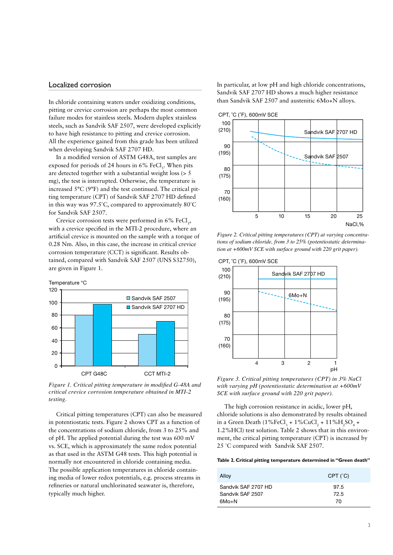#### Localized corrosion

In chloride containing waters under oxidizing conditions, pitting or crevice corrosion are perhaps the most common failure modes for stainless steels. Modern duplex stainless steels, such as Sandvik SAF 2507, were developed explicitly to have high resistance to pitting and crevice corrosion. All the experience gained from this grade has been utilized when developing Sandvik SAF 2707 HD.

In a modified version of ASTM G48A, test samples are exposed for periods of 24 hours in  $6\%$  FeCl<sub>3</sub>. When pits are detected together with a substantial weight loss (> 5 mg), the test is interrupted. Otherwise, the temperature is increased 5°C (9°F) and the test continued. The critical pitting temperature (CPT) of Sandvik SAF 2707 HD defined in this way was 97.5˚C, compared to approximately 80˚C for Sandvik SAF 2507.

Crevice corrosion tests were performed in  $6\%$  FeCl<sub>3</sub>, with a crevice specified in the MTI-2 procedure, where an artificial crevice is mounted on the sample with a torque of 0.28 Nm. Also, in this case, the increase in critical crevice corrosion temperature (CCT) is significant. Results obtained, compared with Sandvik SAF 2507 (UNS S32750), are given in Figure 1.



*Figure 1. Critical pitting temperature in modified G-48A and critical crevice corrosion temperature obtained in MTI-2 testing.*

Critical pitting temperatures (CPT) can also be measured in potentiostatic tests. Figure 2 shows CPT as a function of the concentrations of sodium chloride, from 3 to 25% and of pH. The applied potential during the test was 600 mV vs. SCE, which is approximately the same redox potential as that used in the ASTM G48 tests. This high potential is normally not encountered in chloride containing media. The possible application temperatures in chloride containing media of lower redox potentials, e.g. process streams in refineries or natural unchlorinated seawater is, therefore, typically much higher.

In particular, at low pH and high chloride concentrations, Sandvik SAF 2707 HD shows a much higher resistance than Sandvik SAF 2507 and austenitic 6Mo+N alloys.



*Figure 2. Critical pitting temperatures (CPT) at varying concentrations of sodium chloride, from 3 to 25% (potentiostatic determination at +600mV SCE with surface ground with 220 grit paper).*



*Figure 3. Critical pitting temperatures (CPT) in 3% NaCl with varying pH (potentiostatic determination at +600mV SCE with surface ground with 220 grit paper).*

The high corrosion resistance in acidic, lower pH, chloride solutions is also demonstrated by results obtained in a Green Death  $(1\% \text{FeCl}_3 + 1\% \text{CuCl}_2 + 11\% \text{H}_2 \text{SO}_4 +$ 1.2%HCl) test solution. Table 2 shows that in this environment, the critical pitting temperature (CPT) is increased by 25 ˚C compared with Sandvik SAF 2507.

#### **Table 2. Critical pitting temperature determined in "Green death"**

| Alloy               | CPT (°C) |
|---------------------|----------|
| Sandvik SAF 2707 HD | 97.5     |
| Sandvik SAF 2507    | 72.5     |
| $6Mo+N$             | 70       |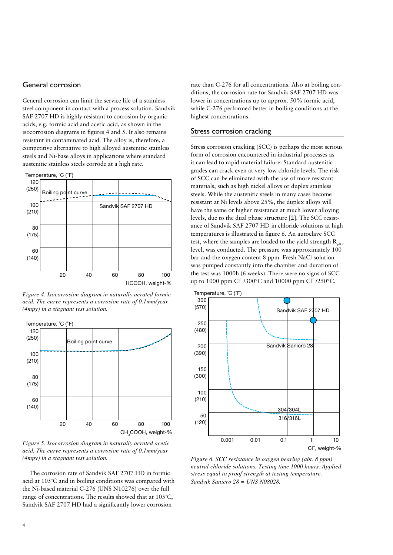#### General corrosion

General corrosion can limit the service life of a stainless steel component in contact with a process solution. Sandvik SAF 2707 HD is highly resistant to corrosion by organic acids, e.g. formic acid and acetic acid, as shown in the isocorrosion diagrams in figures 4 and 5. It also remains resistant in contaminated acid. The alloy is, therefore, a competitive alternative to high alloyed austenitic stainless steels and Ni-base alloys in applications where standard austenitic stainless steels corrode at a high rate.



*Figure 4. Isocorrosion diagram in naturally aerated formic acid. The curve represents a corrosion rate of 0.1mm/year (4mpy) in a stagnant test solution.*



*Figure 5. Isocorrosion diagram in naturally aerated acetic acid. The curve represents a corrosion rate of 0.1mm/year (4mpy) in a stagnant test solution.*

The corrosion rate of Sandvik SAF 2707 HD in formic acid at 105˚C and in boiling conditions was compared with the Ni-based material C-276 (UNS N10276) over the full range of concentrations. The results showed that at 105˚C, Sandvik SAF 2707 HD had a significantly lower corrosion

rate than C-276 for all concentrations. Also at boiling conditions, the corrosion rate for Sandvik SAF 2707 HD was lower in concentrations up to approx. 50% formic acid, while C-276 performed better in boiling conditions at the highest concentrations.

#### Stress corrosion cracking

Stress corrosion cracking (SCC) is perhaps the most serious form of corrosion encountered in industrial processes as it can lead to rapid material failure. Standard austenitic grades can crack even at very low chloride levels. The risk of SCC can be eliminated with the use of more resistant materials, such as high nickel alloys or duplex stainless steels. While the austenitic steels in many cases become resistant at Ni levels above 25%, the duplex alloys will have the same or higher resistance at much lower alloying levels, due to the dual phase structure [2]. The SCC resistance of Sandvik SAF 2707 HD in chloride solutions at high temperatures is illustrated in figure 6. An autoclave SCC test, where the samples are loaded to the yield strength  $R_{p0.2}$ level, was conducted. The pressure was approximately  $100$ bar and the oxygen content 8 ppm. Fresh NaCl solution was pumped constantly into the chamber and duration of the test was 1000h (6 weeks). There were no signs of SCC up to 1000 ppm Cl<sup>-</sup>/300°C and 10000 ppm Cl<sup>-</sup>/250°C.



*Figure 6. SCC resistance in oxygen bearing (abt. 8 ppm) neutral chloride solutions. Testing time 1000 hours. Applied stress equal to proof strength at testing temperature. Sandvik Sanicro 28 = UNS N08028.*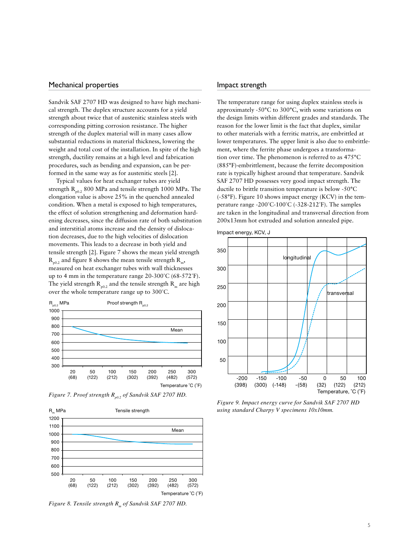#### Mechanical properties

Sandvik SAF 2707 HD was designed to have high mechanical strength. The duplex structure accounts for a yield strength about twice that of austenitic stainless steels with corresponding pitting corrosion resistance. The higher strength of the duplex material will in many cases allow substantial reductions in material thickness, lowering the weight and total cost of the installation. In spite of the high strength, ductility remains at a high level and fabrication procedures, such as bending and expansion, can be performed in the same way as for austenitic steels [2].

Typical values for heat exchanger tubes are yield strength  $R_{p0.2}$  800 MPa and tensile strength 1000 MPa. The elongation value is above 25% in the quenched annealed condition. When a metal is exposed to high temperatures, the effect of solution strengthening and deformation hardening decreases, since the diffusion rate of both substitution and interstitial atoms increase and the density of dislocation decreases, due to the high velocities of dislocation movements. This leads to a decrease in both yield and tensile strength [2]. Figure 7 shows the mean yield strength  $R_{p0.2}$  and figure 8 shows the mean tensile strength  $R_m$ , measured on heat exchanger tubes with wall thicknesses up to 4 mm in the temperature range 20-300˚C (68-572˚F). The yield strength  $R_{p0.2}$  and the tensile strength  $R_{m}$  are high over the whole temperature range up to 300˚C.



*Figure 7. Proof strength R<sub>n0.2</sub> of Sandvik SAF 2707 HD.* 



*Figure 8. Tensile strength R<sub>m</sub> of Sandvik SAF 2707 HD.* 

#### Impact strength

The temperature range for using duplex stainless steels is approximately -50°C to 300°C, with some variations on the design limits within different grades and standards. The reason for the lower limit is the fact that duplex, similar to other materials with a ferritic matrix, are embrittled at lower temperatures. The upper limit is also due to embrittlement, where the ferrite phase undergoes a transformation over time. The phenomenon is referred to as 475°C (885°F)-embrittlement, because the ferrite decomposition rate is typically highest around that temperature. Sandvik SAF 2707 HD possesses very good impact strength. The ductile to brittle transition temperature is below -50°C (-58°F). Figure 10 shows impact energy (KCV) in the temperature range -200˚C-100˚C (-328-212˚F). The samples are taken in the longitudinal and transversal direction from 200x13mm hot extruded and solution annealed pipe.



*Figure 9. Impact energy curve for Sandvik SAF 2707 HD using standard Charpy V specimens 10x10mm.*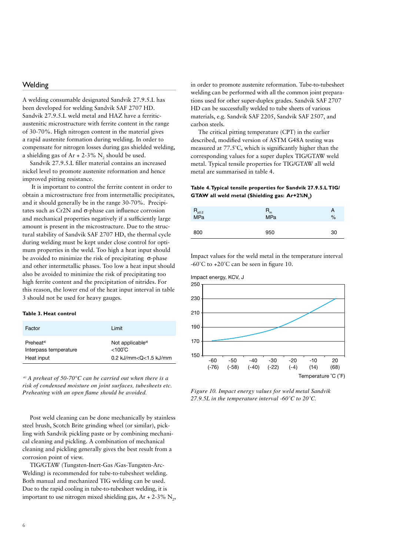## **Welding**

A welding consumable designated Sandvik 27.9.5.L has been developed for welding Sandvik SAF 2707 HD. Sandvik 27.9.5.L weld metal and HAZ have a ferriticaustenitic microstructure with ferrite content in the range of 30-70%. High nitrogen content in the material gives a rapid austenite formation during welding. In order to compensate for nitrogen losses during gas shielded welding, a shielding gas of Ar + 2-3%  $N_2$  should be used.

Sandvik 27.9.5.L filler material contains an increased nickel level to promote austenite reformation and hence improved pitting resistance.

 It is important to control the ferrite content in order to obtain a microstructure free from intermetallic precipitates, and it should generally be in the range 30-70%. Precipitates such as Cr2N and σ-phase can influence corrosion and mechanical properties negatively if a sufficiently large amount is present in the microstructure. Due to the structural stability of Sandvik SAF 2707 HD, the thermal cycle during welding must be kept under close control for optimum properties in the weld. Too high a heat input should be avoided to minimize the risk of precipitating  $\sigma$ -phase and other intermetallic phases. Too low a heat input should also be avoided to minimize the risk of precipitating too high ferrite content and the precipitation of nitrides. For this reason, the lower end of the heat input interval in table 3 should not be used for heavy gauges.

#### **Table 3. Heat control**

| Factor                | I imit                       |
|-----------------------|------------------------------|
| Preheat <sup>a)</sup> | Not applicable <sup>a)</sup> |
| Interpass temperature | $<$ 100 $^{\circ}$ C         |
| Heat input            | 0.2 kJ/mm< $Q$ < $1.5$ kJ/mm |

 *a) A preheat of 50-70°C can be carried out when there is a risk of condensed moisture on joint surfaces, tubesheets etc. Preheating with an open flame should be avoided.* 

Post weld cleaning can be done mechanically by stainless steel brush, Scotch Brite grinding wheel (or similar), pickling with Sandvik pickling paste or by combining mechanical cleaning and pickling. A combination of mechanical cleaning and pickling generally gives the best result from a corrosion point of view.

TIG/GTAW (Tungsten-Inert-Gas /Gas-Tungsten-Arc-Welding) is recommended for tube-to-tubesheet welding. Both manual and mechanized TIG welding can be used. Due to the rapid cooling in tube-to-tubesheet welding, it is important to use nitrogen mixed shielding gas,  $Ar + 2-3\% N_2$ ,

in order to promote austenite reformation. Tube-to-tubesheet welding can be performed with all the common joint preparations used for other super-duplex grades. Sandvik SAF 2707 HD can be successfully welded to tube sheets of various materials, e.g. Sandvik SAF 2205, Sandvik SAF 2507, and carbon steels.

The critical pitting temperature (CPT) in the earlier described, modified version of ASTM G48A testing was measured at 77.5˚C, which is significantly higher than the corresponding values for a super duplex TIG/GTAW weld metal. Typical tensile properties for TIG/GTAW all weld metal are summarised in table 4.

#### **Table 4. Typical tensile properties for Sandvik 27.9.5.L TIG/ GTAW all weld metal (Shielding gas: Ar+2%N2)**

| $R_{p0.2}$<br>MPa | $R_{m}$<br><b>MPa</b> | А<br>% |
|-------------------|-----------------------|--------|
| 800               | 950                   | 30     |

Impact values for the weld metal in the temperature interval  $-60^{\circ}$ C to  $+20^{\circ}$ C can be seen in figure 10.



*Figure 10. Impact energy values for weld metal Sandvik 27.9.5L in the temperature interval -60˚C to 20˚C.*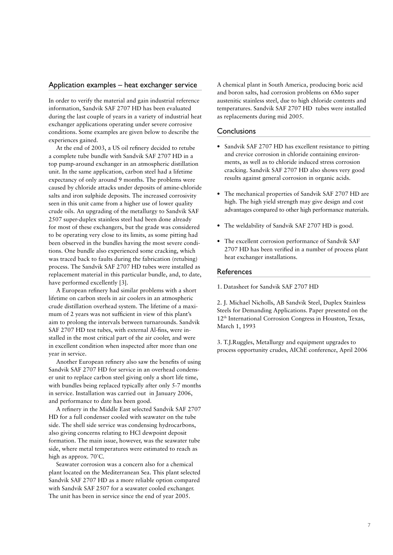#### Application examples – heat exchanger service

In order to verify the material and gain industrial reference information, Sandvik SAF 2707 HD has been evaluated during the last couple of years in a variety of industrial heat exchanger applications operating under severe corrosive conditions. Some examples are given below to describe the experiences gained.

At the end of 2003, a US oil refinery decided to retube a complete tube bundle with Sandvik SAF 2707 HD in a top pump-around exchanger in an atmospheric distillation unit. In the same application, carbon steel had a lifetime expectancy of only around 9 months. The problems were caused by chloride attacks under deposits of amine-chloride salts and iron sulphide deposits. The increased corrosivity seen in this unit came from a higher use of lower quality crude oils. An upgrading of the metallurgy to Sandvik SAF 2507 super-duplex stainless steel had been done already for most of these exchangers, but the grade was considered to be operating very close to its limits, as some pitting had been observed in the bundles having the most severe conditions. One bundle also experienced some cracking, which was traced back to faults during the fabrication (retubing) process. The Sandvik SAF 2707 HD tubes were installed as replacement material in this particular bundle, and, to date, have performed excellently [3].

A European refinery had similar problems with a short lifetime on carbon steels in air coolers in an atmospheric crude distillation overhead system. The lifetime of a maximum of 2 years was not sufficient in view of this plant's aim to prolong the intervals between turnarounds. Sandvik SAF 2707 HD test tubes, with external Al-fins, were installed in the most critical part of the air cooler, and were in excellent condition when inspected after more than one year in service.

Another European refinery also saw the benefits of using Sandvik SAF 2707 HD for service in an overhead condenser unit to replace carbon steel giving only a short life time, with bundles being replaced typically after only 5-7 months in service. Installation was carried out in January 2006, and performance to date has been good.

A refinery in the Middle East selected Sandvik SAF 2707 HD for a full condenser cooled with seawater on the tube side. The shell side service was condensing hydrocarbons, also giving concerns relating to HCl dewpoint deposit formation. The main issue, however, was the seawater tube side, where metal temperatures were estimated to reach as high as approx. 70˚C.

Seawater corrosion was a concern also for a chemical plant located on the Mediterranean Sea. This plant selected Sandvik SAF 2707 HD as a more reliable option compared with Sandvik SAF 2507 for a seawater cooled exchanger. The unit has been in service since the end of year 2005.

A chemical plant in South America, producing boric acid and boron salts, had corrosion problems on 6Mo super austenitic stainless steel, due to high chloride contents and temperatures. Sandvik SAF 2707 HD tubes were installed as replacements during mid 2005.

#### **Conclusions**

- Sandvik SAF 2707 HD has excellent resistance to pitting and crevice corrosion in chloride containing environments, as well as to chloride induced stress corrosion cracking. Sandvik SAF 2707 HD also shows very good results against general corrosion in organic acids.
- The mechanical properties of Sandvik SAF 2707 HD are high. The high yield strength may give design and cost advantages compared to other high performance materials.
- The weldability of Sandvik SAF 2707 HD is good.
- The excellent corrosion performance of Sandvik SAF 2707 HD has been verified in a number of process plant heat exchanger installations.

#### References

1. Datasheet for Sandvik SAF 2707 HD

2. J. Michael Nicholls, AB Sandvik Steel, Duplex Stainless Steels for Demanding Applications. Paper presented on the 12<sup>th</sup> International Corrosion Congress in Houston, Texas, March 1, 1993

3. T.J.Ruggles, Metallurgy and equipment upgrades to process opportunity crudes, AIChE conference, April 2006